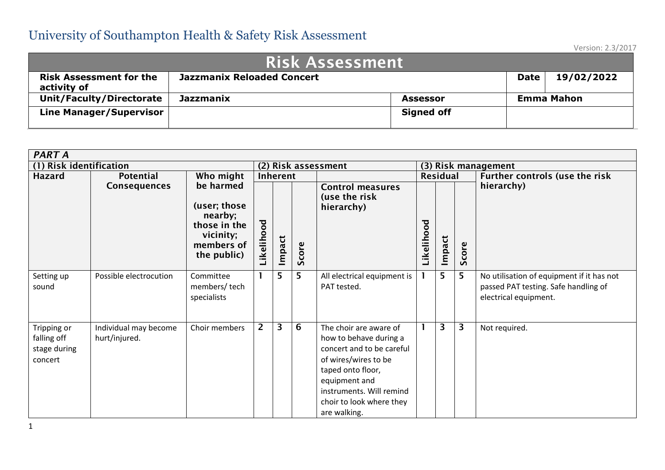| <b>Risk Assessment</b>                        |                                                                |                   |  |                   |  |  |  |  |
|-----------------------------------------------|----------------------------------------------------------------|-------------------|--|-------------------|--|--|--|--|
| <b>Risk Assessment for the</b><br>activity of | 19/02/2022<br><b>Jazzmanix Reloaded Concert</b><br><b>Date</b> |                   |  |                   |  |  |  |  |
| <b>Unit/Faculty/Directorate</b>               | <b>Jazzmanix</b>                                               | <b>Assessor</b>   |  | <b>Emma Mahon</b> |  |  |  |  |
| <b>Line Manager/Supervisor</b>                |                                                                | <b>Signed off</b> |  |                   |  |  |  |  |

| <b>PART A</b>                                         |                                        |                                                                                                |                |          |       |                                                                                                                                                                                                                     |                     |        |       |                                                                                                            |
|-------------------------------------------------------|----------------------------------------|------------------------------------------------------------------------------------------------|----------------|----------|-------|---------------------------------------------------------------------------------------------------------------------------------------------------------------------------------------------------------------------|---------------------|--------|-------|------------------------------------------------------------------------------------------------------------|
| (1) Risk identification                               |                                        |                                                                                                |                |          |       | (2) Risk assessment                                                                                                                                                                                                 | (3) Risk management |        |       |                                                                                                            |
| Hazard                                                | <b>Potential</b>                       | Who might                                                                                      |                | Inherent |       |                                                                                                                                                                                                                     | Residual            |        |       | Further controls (use the risk                                                                             |
|                                                       | <b>Consequences</b>                    | be harmed<br>(user; those<br>nearby;<br>those in the<br>vicinity;<br>members of<br>the public) | ikelihood      | Impact   | Score | <b>Control measures</b><br>(use the risk<br>hierarchy)                                                                                                                                                              | Likelihood          | Impact | Score | hierarchy)                                                                                                 |
| Setting up<br>sound                                   | Possible electrocution                 | Committee<br>members/tech<br>specialists                                                       |                | 5        | 5     | All electrical equipment is<br>PAT tested.                                                                                                                                                                          |                     | 5.     | 5     | No utilisation of equipment if it has not<br>passed PAT testing. Safe handling of<br>electrical equipment. |
| Tripping or<br>falling off<br>stage during<br>concert | Individual may become<br>hurt/injured. | Choir members                                                                                  | $\overline{2}$ | 3        | 6     | The choir are aware of<br>how to behave during a<br>concert and to be careful<br>of wires/wires to be<br>taped onto floor,<br>equipment and<br>instruments. Will remind<br>choir to look where they<br>are walking. |                     | 3      | 3     | Not required.                                                                                              |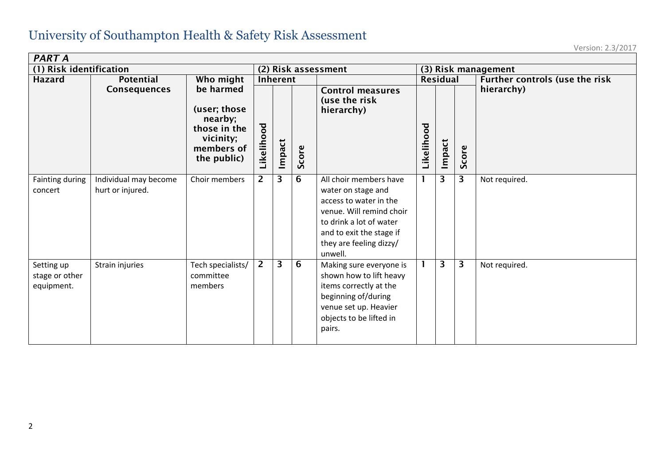| <b>PART A</b>                              |                                           |                                                                                                |                     |        |       |                                                                                                                                                                                                 |                     |        |       |                                |
|--------------------------------------------|-------------------------------------------|------------------------------------------------------------------------------------------------|---------------------|--------|-------|-------------------------------------------------------------------------------------------------------------------------------------------------------------------------------------------------|---------------------|--------|-------|--------------------------------|
| (1) Risk identification                    |                                           |                                                                                                | (2) Risk assessment |        |       |                                                                                                                                                                                                 | (3) Risk management |        |       |                                |
| <b>Hazard</b>                              | <b>Potential</b>                          | Who might                                                                                      | Inherent            |        |       |                                                                                                                                                                                                 | Residual            |        |       | Further controls (use the risk |
|                                            | <b>Consequences</b>                       | be harmed<br>(user; those<br>nearby;<br>those in the<br>vicinity;<br>members of<br>the public) | Likelihood          | Impact | Score | <b>Control measures</b><br>(use the risk<br>hierarchy)                                                                                                                                          | Likelihood          | Impact | Score | hierarchy)                     |
| Fainting during<br>concert                 | Individual may become<br>hurt or injured. | Choir members                                                                                  | $\overline{2}$      | 3      | 6     | All choir members have<br>water on stage and<br>access to water in the<br>venue. Will remind choir<br>to drink a lot of water<br>and to exit the stage if<br>they are feeling dizzy/<br>unwell. | $\mathbf{1}$        | 3      | 3     | Not required.                  |
| Setting up<br>stage or other<br>equipment. | Strain injuries                           | Tech specialists/<br>committee<br>members                                                      | $\overline{2}$      | 3      | 6     | Making sure everyone is<br>shown how to lift heavy<br>items correctly at the<br>beginning of/during<br>venue set up. Heavier<br>objects to be lifted in<br>pairs.                               |                     | 3      | 3     | Not required.                  |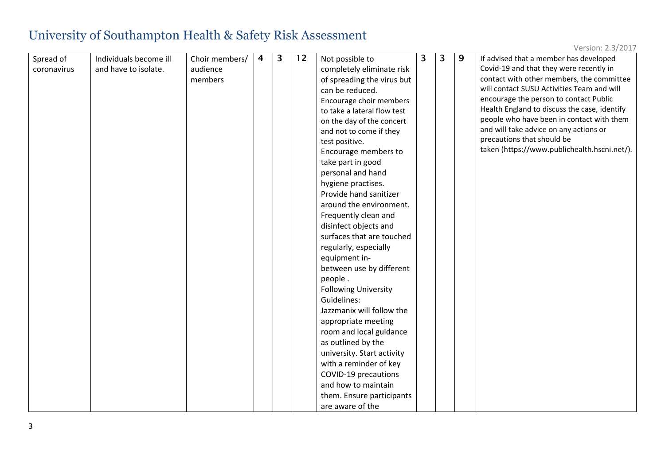| Spread of   | Individuals become ill | Choir members/ | $\overline{4}$ | 3 | 12 | Not possible to             | 3 | 3 | 9 | If advised that a member has developed       |
|-------------|------------------------|----------------|----------------|---|----|-----------------------------|---|---|---|----------------------------------------------|
| coronavirus | and have to isolate.   | audience       |                |   |    | completely eliminate risk   |   |   |   | Covid-19 and that they were recently in      |
|             |                        | members        |                |   |    | of spreading the virus but  |   |   |   | contact with other members, the committee    |
|             |                        |                |                |   |    | can be reduced.             |   |   |   | will contact SUSU Activities Team and will   |
|             |                        |                |                |   |    | Encourage choir members     |   |   |   | encourage the person to contact Public       |
|             |                        |                |                |   |    | to take a lateral flow test |   |   |   | Health England to discuss the case, identify |
|             |                        |                |                |   |    | on the day of the concert   |   |   |   | people who have been in contact with them    |
|             |                        |                |                |   |    | and not to come if they     |   |   |   | and will take advice on any actions or       |
|             |                        |                |                |   |    | test positive.              |   |   |   | precautions that should be                   |
|             |                        |                |                |   |    | Encourage members to        |   |   |   | taken (https://www.publichealth.hscni.net/). |
|             |                        |                |                |   |    | take part in good           |   |   |   |                                              |
|             |                        |                |                |   |    | personal and hand           |   |   |   |                                              |
|             |                        |                |                |   |    | hygiene practises.          |   |   |   |                                              |
|             |                        |                |                |   |    | Provide hand sanitizer      |   |   |   |                                              |
|             |                        |                |                |   |    | around the environment.     |   |   |   |                                              |
|             |                        |                |                |   |    | Frequently clean and        |   |   |   |                                              |
|             |                        |                |                |   |    | disinfect objects and       |   |   |   |                                              |
|             |                        |                |                |   |    | surfaces that are touched   |   |   |   |                                              |
|             |                        |                |                |   |    | regularly, especially       |   |   |   |                                              |
|             |                        |                |                |   |    | equipment in-               |   |   |   |                                              |
|             |                        |                |                |   |    | between use by different    |   |   |   |                                              |
|             |                        |                |                |   |    | people.                     |   |   |   |                                              |
|             |                        |                |                |   |    | <b>Following University</b> |   |   |   |                                              |
|             |                        |                |                |   |    | Guidelines:                 |   |   |   |                                              |
|             |                        |                |                |   |    | Jazzmanix will follow the   |   |   |   |                                              |
|             |                        |                |                |   |    | appropriate meeting         |   |   |   |                                              |
|             |                        |                |                |   |    | room and local guidance     |   |   |   |                                              |
|             |                        |                |                |   |    | as outlined by the          |   |   |   |                                              |
|             |                        |                |                |   |    | university. Start activity  |   |   |   |                                              |
|             |                        |                |                |   |    | with a reminder of key      |   |   |   |                                              |
|             |                        |                |                |   |    | COVID-19 precautions        |   |   |   |                                              |
|             |                        |                |                |   |    | and how to maintain         |   |   |   |                                              |
|             |                        |                |                |   |    | them. Ensure participants   |   |   |   |                                              |
|             |                        |                |                |   |    | are aware of the            |   |   |   |                                              |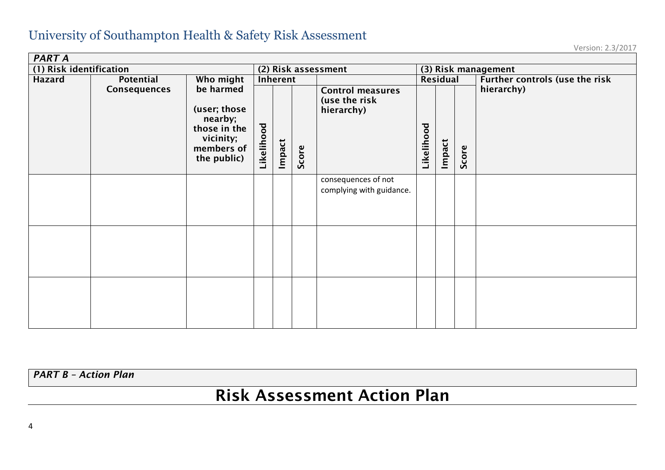Version: 2.3/2017

| <b>PART A</b>           |                                                                                                                |            |                     |       |                                                        |                                                 |                     |          |            |                                |  |
|-------------------------|----------------------------------------------------------------------------------------------------------------|------------|---------------------|-------|--------------------------------------------------------|-------------------------------------------------|---------------------|----------|------------|--------------------------------|--|
| (1) Risk identification |                                                                                                                |            | (2) Risk assessment |       |                                                        |                                                 | (3) Risk management |          |            |                                |  |
| Hazard                  | Potential                                                                                                      | Who might  | Inherent            |       |                                                        |                                                 |                     | Residual |            | Further controls (use the risk |  |
|                         | be harmed<br>Consequences<br>(user; those<br>nearby;<br>those in the<br>vicinity;<br>members of<br>the public) | Likelihood | Impact              | Score | <b>Control measures</b><br>(use the risk<br>hierarchy) | Likelihood                                      | Impact              | Score    | hierarchy) |                                |  |
|                         |                                                                                                                |            |                     |       |                                                        | consequences of not<br>complying with guidance. |                     |          |            |                                |  |
|                         |                                                                                                                |            |                     |       |                                                        |                                                 |                     |          |            |                                |  |
|                         |                                                                                                                |            |                     |       |                                                        |                                                 |                     |          |            |                                |  |

*PART B – Action Plan*

# Risk Assessment Action Plan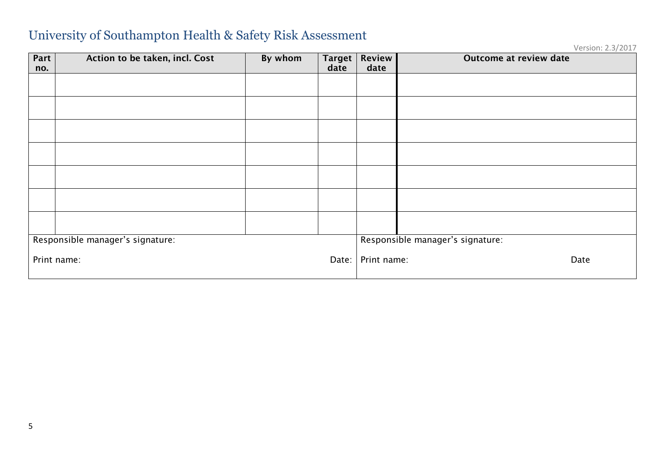| Part<br>no. | Action to be taken, incl. Cost   | By whom | <b>Target</b><br>date | <b>Review</b><br>date | Outcome at review date           |  |
|-------------|----------------------------------|---------|-----------------------|-----------------------|----------------------------------|--|
|             |                                  |         |                       |                       |                                  |  |
|             |                                  |         |                       |                       |                                  |  |
|             |                                  |         |                       |                       |                                  |  |
|             |                                  |         |                       |                       |                                  |  |
|             |                                  |         |                       |                       |                                  |  |
|             |                                  |         |                       |                       |                                  |  |
|             |                                  |         |                       |                       |                                  |  |
|             | Responsible manager's signature: |         |                       |                       | Responsible manager's signature: |  |
|             | Print name:                      |         | Date:                 | Print name:           | Date                             |  |